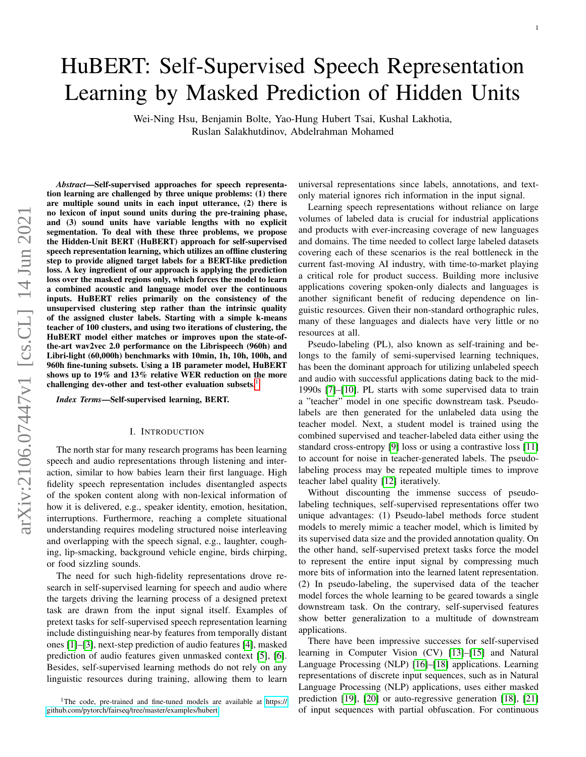# <span id="page-0-0"></span>HuBERT: Self-Supervised Speech Representation Learning by Masked Prediction of Hidden Units

Wei-Ning Hsu, Benjamin Bolte, Yao-Hung Hubert Tsai, Kushal Lakhotia, Ruslan Salakhutdinov, Abdelrahman Mohamed

*Abstract*—Self-supervised approaches for speech representation learning are challenged by three unique problems: (1) there are multiple sound units in each input utterance, (2) there is no lexicon of input sound units during the pre-training phase, and (3) sound units have variable lengths with no explicit segmentation. To deal with these three problems, we propose the Hidden-Unit BERT (HuBERT) approach for self-supervised speech representation learning, which utilizes an offline clustering step to provide aligned target labels for a BERT-like prediction loss. A key ingredient of our approach is applying the prediction loss over the masked regions only, which forces the model to learn a combined acoustic and language model over the continuous inputs. HuBERT relies primarily on the consistency of the unsupervised clustering step rather than the intrinsic quality of the assigned cluster labels. Starting with a simple k-means teacher of 100 clusters, and using two iterations of clustering, the HuBERT model either matches or improves upon the state-ofthe-art wav2vec 2.0 performance on the Librispeech (960h) and Libri-light (60,000h) benchmarks with 10min, 1h, 10h, 100h, and 960h fine-tuning subsets. Using a 1B parameter model, HuBERT shows up to 19% and 13% relative WER reduction on the more challenging dev-other and test-other evaluation subsets.<sup>1</sup>

*Index Terms*—Self-supervised learning, BERT.

## I. INTRODUCTION

The north star for many research programs has been learning speech and audio representations through listening and interaction, similar to how babies learn their first language. High fidelity speech representation includes disentangled aspects of the spoken content along with non-lexical information of how it is delivered, e.g., speaker identity, emotion, hesitation, interruptions. Furthermore, reaching a complete situational understanding requires modeling structured noise interleaving and overlapping with the speech signal, e.g., laughter, coughing, lip-smacking, background vehicle engine, birds chirping, or food sizzling sounds.

The need for such high-fidelity representations drove research in self-supervised learning for speech and audio where the targets driving the learning process of a designed pretext task are drawn from the input signal itself. Examples of pretext tasks for self-supervised speech representation learning include distinguishing near-by features from temporally distant ones [\[1\]](#page-8-0)–[\[3\]](#page-8-1), next-step prediction of audio features [\[4\]](#page-8-2), masked prediction of audio features given unmasked context [\[5\]](#page-8-3), [\[6\]](#page-8-4). Besides, self-supervised learning methods do not rely on any linguistic resources during training, allowing them to learn

<sup>1</sup>The code, pre-trained and fine-tuned models are available at [https://](https://github.com/pytorch/fairseq/tree/master/examples/hubert) [github.com/pytorch/fairseq/tree/master/examples/hubert.](https://github.com/pytorch/fairseq/tree/master/examples/hubert)

universal representations since labels, annotations, and textonly material ignores rich information in the input signal.

Learning speech representations without reliance on large volumes of labeled data is crucial for industrial applications and products with ever-increasing coverage of new languages and domains. The time needed to collect large labeled datasets covering each of these scenarios is the real bottleneck in the current fast-moving AI industry, with time-to-market playing a critical role for product success. Building more inclusive applications covering spoken-only dialects and languages is another significant benefit of reducing dependence on linguistic resources. Given their non-standard orthographic rules, many of these languages and dialects have very little or no resources at all.

Pseudo-labeling (PL), also known as self-training and belongs to the family of semi-supervised learning techniques, has been the dominant approach for utilizing unlabeled speech and audio with successful applications dating back to the mid-1990s [\[7\]](#page-8-5)–[\[10\]](#page-8-6). PL starts with some supervised data to train a "teacher" model in one specific downstream task. Pseudolabels are then generated for the unlabeled data using the teacher model. Next, a student model is trained using the combined supervised and teacher-labeled data either using the standard cross-entropy [\[9\]](#page-8-7) loss or using a contrastive loss [\[11\]](#page-8-8) to account for noise in teacher-generated labels. The pseudolabeling process may be repeated multiple times to improve teacher label quality [\[12\]](#page-8-9) iteratively.

Without discounting the immense success of pseudolabeling techniques, self-supervised representations offer two unique advantages: (1) Pseudo-label methods force student models to merely mimic a teacher model, which is limited by its supervised data size and the provided annotation quality. On the other hand, self-supervised pretext tasks force the model to represent the entire input signal by compressing much more bits of information into the learned latent representation. (2) In pseudo-labeling, the supervised data of the teacher model forces the whole learning to be geared towards a single downstream task. On the contrary, self-supervised features show better generalization to a multitude of downstream applications.

There have been impressive successes for self-supervised learning in Computer Vision (CV) [\[13\]](#page-8-10)–[\[15\]](#page-8-11) and Natural Language Processing (NLP) [\[16\]](#page-8-12)–[\[18\]](#page-8-13) applications. Learning representations of discrete input sequences, such as in Natural Language Processing (NLP) applications, uses either masked prediction [\[19\]](#page-8-14), [\[20\]](#page-8-15) or auto-regressive generation [\[18\]](#page-8-13), [\[21\]](#page-8-16) of input sequences with partial obfuscation. For continuous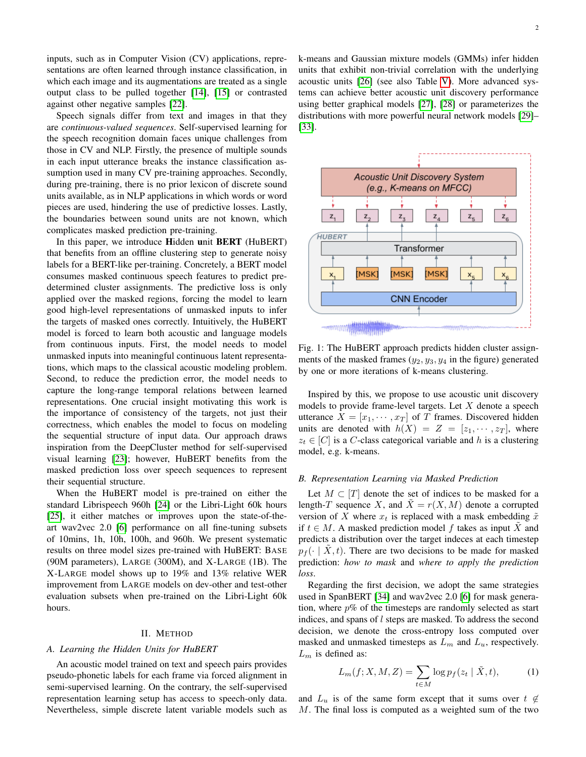inputs, such as in Computer Vision (CV) applications, representations are often learned through instance classification, in which each image and its augmentations are treated as a single output class to be pulled together [\[14\]](#page-8-17), [\[15\]](#page-8-11) or contrasted against other negative samples [\[22\]](#page-8-18).

Speech signals differ from text and images in that they are *continuous-valued sequences*. Self-supervised learning for the speech recognition domain faces unique challenges from those in CV and NLP. Firstly, the presence of multiple sounds in each input utterance breaks the instance classification assumption used in many CV pre-training approaches. Secondly, during pre-training, there is no prior lexicon of discrete sound units available, as in NLP applications in which words or word pieces are used, hindering the use of predictive losses. Lastly, the boundaries between sound units are not known, which complicates masked prediction pre-training.

In this paper, we introduce Hidden unit BERT (HuBERT) that benefits from an offline clustering step to generate noisy labels for a BERT-like per-training. Concretely, a BERT model consumes masked continuous speech features to predict predetermined cluster assignments. The predictive loss is only applied over the masked regions, forcing the model to learn good high-level representations of unmasked inputs to infer the targets of masked ones correctly. Intuitively, the HuBERT model is forced to learn both acoustic and language models from continuous inputs. First, the model needs to model unmasked inputs into meaningful continuous latent representations, which maps to the classical acoustic modeling problem. Second, to reduce the prediction error, the model needs to capture the long-range temporal relations between learned representations. One crucial insight motivating this work is the importance of consistency of the targets, not just their correctness, which enables the model to focus on modeling the sequential structure of input data. Our approach draws inspiration from the DeepCluster method for self-supervised visual learning [\[23\]](#page-8-19); however, HuBERT benefits from the masked prediction loss over speech sequences to represent their sequential structure.

When the HuBERT model is pre-trained on either the standard Librispeech 960h [\[24\]](#page-8-20) or the Libri-Light 60k hours [\[25\]](#page-8-21), it either matches or improves upon the state-of-theart wav2vec 2.0 [\[6\]](#page-8-4) performance on all fine-tuning subsets of 10mins, 1h, 10h, 100h, and 960h. We present systematic results on three model sizes pre-trained with HuBERT: BASE (90M parameters), LARGE (300M), and X-LARGE (1B). The X-LARGE model shows up to 19% and 13% relative WER improvement from LARGE models on dev-other and test-other evaluation subsets when pre-trained on the Libri-Light 60k hours.

# II. METHOD

#### *A. Learning the Hidden Units for HuBERT*

An acoustic model trained on text and speech pairs provides pseudo-phonetic labels for each frame via forced alignment in semi-supervised learning. On the contrary, the self-supervised representation learning setup has access to speech-only data. Nevertheless, simple discrete latent variable models such as k-means and Gaussian mixture models (GMMs) infer hidden units that exhibit non-trivial correlation with the underlying acoustic units [\[26\]](#page-8-22) (see also Table [V\)](#page-7-0). More advanced systems can achieve better acoustic unit discovery performance using better graphical models [\[27\]](#page-8-23), [\[28\]](#page-8-24) or parameterizes the distributions with more powerful neural network models [\[29\]](#page-8-25)– [\[33\]](#page-8-26).



Fig. 1: The HuBERT approach predicts hidden cluster assignments of the masked frames  $(y_2, y_3, y_4)$  in the figure) generated by one or more iterations of k-means clustering.

Inspired by this, we propose to use acoustic unit discovery models to provide frame-level targets. Let  $X$  denote a speech utterance  $X = [x_1, \dots, x_T]$  of T frames. Discovered hidden units are denoted with  $h(X) = Z = [z_1, \dots, z_T]$ , where  $z_t \in [C]$  is a C-class categorical variable and h is a clustering model, e.g. k-means.

# <span id="page-1-0"></span>*B. Representation Learning via Masked Prediction*

Let  $M \subset [T]$  denote the set of indices to be masked for a length-T sequence X, and  $X = r(X, M)$  denote a corrupted version of X where  $x_t$  is replaced with a mask embedding  $\tilde{x}$ if  $t \in M$ . A masked prediction model f takes as input X and predicts a distribution over the target indeces at each timestep  $p_f(\cdot | \tilde{X}, t)$ . There are two decisions to be made for masked prediction: *how to mask* and *where to apply the prediction loss*.

Regarding the first decision, we adopt the same strategies used in SpanBERT [\[34\]](#page-8-27) and wav2vec 2.0 [\[6\]](#page-8-4) for mask generation, where  $p\%$  of the timesteps are randomly selected as start indices, and spans of l steps are masked. To address the second decision, we denote the cross-entropy loss computed over masked and unmasked timesteps as  $L_m$  and  $L_u$ , respectively.  $L_m$  is defined as:

$$
L_m(f; X, M, Z) = \sum_{t \in M} \log p_f(z_t \mid \tilde{X}, t), \tag{1}
$$

and  $L_u$  is of the same form except that it sums over  $t \notin$ M. The final loss is computed as a weighted sum of the two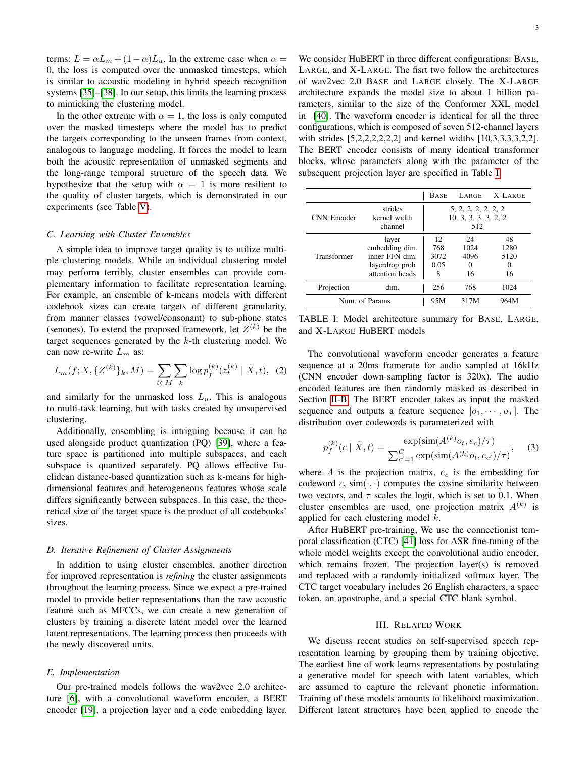terms:  $L = \alpha L_m + (1 - \alpha) L_u$ . In the extreme case when  $\alpha =$ 0, the loss is computed over the unmasked timesteps, which is similar to acoustic modeling in hybrid speech recognition systems [\[35\]](#page-8-28)–[\[38\]](#page-8-29). In our setup, this limits the learning process to mimicking the clustering model.

In the other extreme with  $\alpha = 1$ , the loss is only computed over the masked timesteps where the model has to predict the targets corresponding to the unseen frames from context, analogous to language modeling. It forces the model to learn both the acoustic representation of unmasked segments and the long-range temporal structure of the speech data. We hypothesize that the setup with  $\alpha = 1$  is more resilient to the quality of cluster targets, which is demonstrated in our experiments (see Table [V\)](#page-7-0).

#### *C. Learning with Cluster Ensembles*

A simple idea to improve target quality is to utilize multiple clustering models. While an individual clustering model may perform terribly, cluster ensembles can provide complementary information to facilitate representation learning. For example, an ensemble of k-means models with different codebook sizes can create targets of different granularity, from manner classes (vowel/consonant) to sub-phone states (senones). To extend the proposed framework, let  $Z^{(k)}$  be the target sequences generated by the  $k$ -th clustering model. We can now re-write  $L_m$  as:

$$
L_m(f; X, \{Z^{(k)}\}_k, M) = \sum_{t \in M} \sum_k \log p_f^{(k)}(z_t^{(k)} | \tilde{X}, t), \tag{2}
$$

and similarly for the unmasked loss  $L<sub>u</sub>$ . This is analogous to multi-task learning, but with tasks created by unsupervised clustering.

Additionally, ensembling is intriguing because it can be used alongside product quantization (PQ) [\[39\]](#page-8-30), where a feature space is partitioned into multiple subspaces, and each subspace is quantized separately. PQ allows effective Euclidean distance-based quantization such as k-means for highdimensional features and heterogeneous features whose scale differs significantly between subspaces. In this case, the theoretical size of the target space is the product of all codebooks' sizes.

#### *D. Iterative Refinement of Cluster Assignments*

In addition to using cluster ensembles, another direction for improved representation is *refining* the cluster assignments throughout the learning process. Since we expect a pre-trained model to provide better representations than the raw acoustic feature such as MFCCs, we can create a new generation of clusters by training a discrete latent model over the learned latent representations. The learning process then proceeds with the newly discovered units.

#### *E. Implementation*

Our pre-trained models follows the wav2vec 2.0 architecture [\[6\]](#page-8-4), with a convolutional waveform encoder, a BERT encoder [\[19\]](#page-8-14), a projection layer and a code embedding layer.

We consider HuBERT in three different configurations: BASE, LARGE, and X-LARGE. The fisrt two follow the architectures of wav2vec 2.0 BASE and LARGE closely. The X-LARGE architecture expands the model size to about 1 billion parameters, similar to the size of the Conformer XXL model in [\[40\]](#page-9-0). The waveform encoder is identical for all the three configurations, which is composed of seven 512-channel layers with strides [5,2,2,2,2,2,2] and kernel widths [10,3,3,3,3,2,2]. The BERT encoder consists of many identical transformer blocks, whose parameters along with the parameter of the subsequent projection layer are specified in Table [I.](#page-2-0)

<span id="page-2-0"></span>

|                |                                                                                | <b>BASE</b>                    | LARGE                                              | X-LARGE                       |
|----------------|--------------------------------------------------------------------------------|--------------------------------|----------------------------------------------------|-------------------------------|
| CNN Encoder    | strides<br>kernel width<br>channel                                             |                                | 5, 2, 2, 2, 2, 2, 2<br>10, 3, 3, 3, 3, 2, 2<br>512 |                               |
| Transformer    | layer<br>embedding dim.<br>inner FFN dim.<br>layerdrop prob<br>attention heads | 12<br>768<br>3072<br>0.05<br>8 | 24<br>1024<br>4096<br>0<br>16                      | 48<br>1280<br>5120<br>0<br>16 |
| Projection     | dim.                                                                           | 256                            | 768                                                | 1024                          |
| Num. of Params |                                                                                | 95M                            | 317M                                               | 964M                          |

TABLE I: Model architecture summary for BASE, LARGE, and X-LARGE HuBERT models

The convolutional waveform encoder generates a feature sequence at a 20ms framerate for audio sampled at 16kHz (CNN encoder down-sampling factor is 320x). The audio encoded features are then randomly masked as described in Section [II-B.](#page-1-0) The BERT encoder takes as input the masked sequence and outputs a feature sequence  $[o_1, \cdots, o_T]$ . The distribution over codewords is parameterized with

$$
p_f^{(k)}(c \mid \tilde{X}, t) = \frac{\exp(\text{sim}(A^{(k)}o_t, e_c)/\tau)}{\sum_{c'=1}^{C} \exp(\text{sim}(A^{(k)}o_t, e_{c'})/\tau)},
$$
(3)

where  $A$  is the projection matrix,  $e_c$  is the embedding for codeword c,  $\sin(\cdot, \cdot)$  computes the cosine similarity between two vectors, and  $\tau$  scales the logit, which is set to 0.1. When cluster ensembles are used, one projection matrix  $A^{(k)}$  is applied for each clustering model  $k$ .

After HuBERT pre-training, We use the connectionist temporal classification (CTC) [\[41\]](#page-9-1) loss for ASR fine-tuning of the whole model weights except the convolutional audio encoder, which remains frozen. The projection layer(s) is removed and replaced with a randomly initialized softmax layer. The CTC target vocabulary includes 26 English characters, a space token, an apostrophe, and a special CTC blank symbol.

#### III. RELATED WORK

We discuss recent studies on self-supervised speech representation learning by grouping them by training objective. The earliest line of work learns representations by postulating a generative model for speech with latent variables, which are assumed to capture the relevant phonetic information. Training of these models amounts to likelihood maximization. Different latent structures have been applied to encode the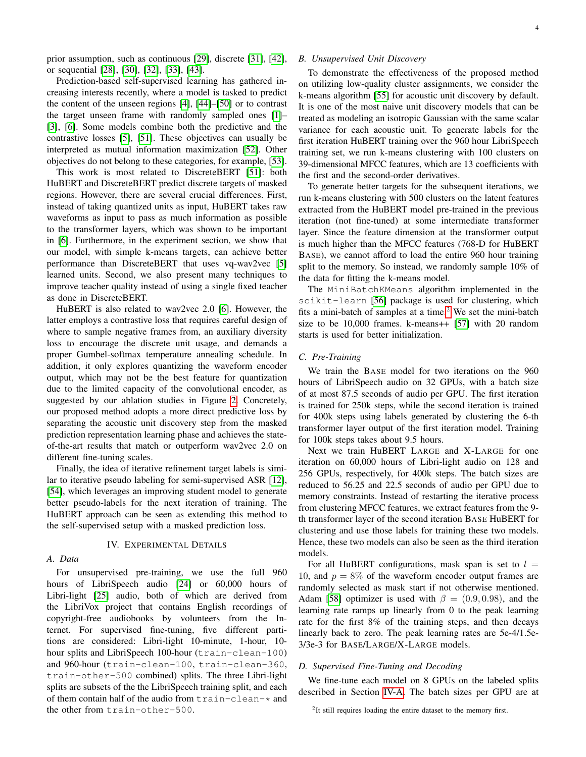prior assumption, such as continuous [\[29\]](#page-8-25), discrete [\[31\]](#page-8-31), [\[42\]](#page-9-2), or sequential [\[28\]](#page-8-24), [\[30\]](#page-8-32), [\[32\]](#page-8-33), [\[33\]](#page-8-26), [\[43\]](#page-9-3).

Prediction-based self-supervised learning has gathered increasing interests recently, where a model is tasked to predict the content of the unseen regions [\[4\]](#page-8-2), [\[44\]](#page-9-4)–[\[50\]](#page-9-5) or to contrast the target unseen frame with randomly sampled ones [\[1\]](#page-8-0)– [\[3\]](#page-8-1), [\[6\]](#page-8-4). Some models combine both the predictive and the contrastive losses [\[5\]](#page-8-3), [\[51\]](#page-9-6). These objectives can usually be interpreted as mutual information maximization [\[52\]](#page-9-7). Other objectives do not belong to these categories, for example, [\[53\]](#page-9-8).

This work is most related to DiscreteBERT [\[51\]](#page-9-6): both HuBERT and DiscreteBERT predict discrete targets of masked regions. However, there are several crucial differences. First, instead of taking quantized units as input, HuBERT takes raw waveforms as input to pass as much information as possible to the transformer layers, which was shown to be important in [\[6\]](#page-8-4). Furthermore, in the experiment section, we show that our model, with simple k-means targets, can achieve better performance than DiscreteBERT that uses vq-wav2vec [\[5\]](#page-8-3) learned units. Second, we also present many techniques to improve teacher quality instead of using a single fixed teacher as done in DiscreteBERT.

HuBERT is also related to wav2vec 2.0 [\[6\]](#page-8-4). However, the latter employs a contrastive loss that requires careful design of where to sample negative frames from, an auxiliary diversity loss to encourage the discrete unit usage, and demands a proper Gumbel-softmax temperature annealing schedule. In addition, it only explores quantizing the waveform encoder output, which may not be the best feature for quantization due to the limited capacity of the convolutional encoder, as suggested by our ablation studies in Figure [2.](#page-6-0) Concretely, our proposed method adopts a more direct predictive loss by separating the acoustic unit discovery step from the masked prediction representation learning phase and achieves the stateof-the-art results that match or outperform wav2vec 2.0 on different fine-tuning scales.

Finally, the idea of iterative refinement target labels is similar to iterative pseudo labeling for semi-supervised ASR [\[12\]](#page-8-9), [\[54\]](#page-9-9), which leverages an improving student model to generate better pseudo-labels for the next iteration of training. The HuBERT approach can be seen as extending this method to the self-supervised setup with a masked prediction loss.

#### IV. EXPERIMENTAL DETAILS

<span id="page-3-0"></span>*A. Data*

For unsupervised pre-training, we use the full 960 hours of LibriSpeech audio [\[24\]](#page-8-20) or 60,000 hours of Libri-light [\[25\]](#page-8-21) audio, both of which are derived from the LibriVox project that contains English recordings of copyright-free audiobooks by volunteers from the Internet. For supervised fine-tuning, five different partitions are considered: Libri-light 10-minute, 1-hour, 10 hour splits and LibriSpeech 100-hour (train-clean-100) and 960-hour (train-clean-100, train-clean-360, train-other-500 combined) splits. The three Libri-light splits are subsets of the the LibriSpeech training split, and each of them contain half of the audio from train-clean-\* and the other from train-other-500.

# *B. Unsupervised Unit Discovery*

To demonstrate the effectiveness of the proposed method on utilizing low-quality cluster assignments, we consider the k-means algorithm [\[55\]](#page-9-10) for acoustic unit discovery by default. It is one of the most naive unit discovery models that can be treated as modeling an isotropic Gaussian with the same scalar variance for each acoustic unit. To generate labels for the first iteration HuBERT training over the 960 hour LibriSpeech training set, we run k-means clustering with 100 clusters on 39-dimensional MFCC features, which are 13 coefficients with the first and the second-order derivatives.

To generate better targets for the subsequent iterations, we run k-means clustering with 500 clusters on the latent features extracted from the HuBERT model pre-trained in the previous iteration (not fine-tuned) at some intermediate transformer layer. Since the feature dimension at the transformer output is much higher than the MFCC features (768-D for HuBERT BASE), we cannot afford to load the entire 960 hour training split to the memory. So instead, we randomly sample 10% of the data for fitting the k-means model.

The MiniBatchKMeans algorithm implemented in the scikit-learn [\[56\]](#page-9-11) package is used for clustering, which fits a mini-batch of samples at a time.<sup>[2](#page-0-0)</sup> We set the mini-batch size to be 10,000 frames. k-means++ [\[57\]](#page-9-12) with 20 random starts is used for better initialization.

# <span id="page-3-1"></span>*C. Pre-Training*

We train the BASE model for two iterations on the 960 hours of LibriSpeech audio on 32 GPUs, with a batch size of at most 87.5 seconds of audio per GPU. The first iteration is trained for 250k steps, while the second iteration is trained for 400k steps using labels generated by clustering the 6-th transformer layer output of the first iteration model. Training for 100k steps takes about 9.5 hours.

Next we train HuBERT LARGE and X-LARGE for one iteration on 60,000 hours of Libri-light audio on 128 and 256 GPUs, respectively, for 400k steps. The batch sizes are reduced to 56.25 and 22.5 seconds of audio per GPU due to memory constraints. Instead of restarting the iterative process from clustering MFCC features, we extract features from the 9 th transformer layer of the second iteration BASE HuBERT for clustering and use those labels for training these two models. Hence, these two models can also be seen as the third iteration models.

For all HuBERT configurations, mask span is set to  $l =$ 10, and  $p = 8\%$  of the waveform encoder output frames are randomly selected as mask start if not otherwise mentioned. Adam [\[58\]](#page-9-13) optimizer is used with  $\beta = (0.9, 0.98)$ , and the learning rate ramps up linearly from 0 to the peak learning rate for the first 8% of the training steps, and then decays linearly back to zero. The peak learning rates are 5e-4/1.5e-3/3e-3 for BASE/LARGE/X-LARGE models.

# *D. Supervised Fine-Tuning and Decoding*

We fine-tune each model on 8 GPUs on the labeled splits described in Section [IV-A.](#page-3-0) The batch sizes per GPU are at

<sup>&</sup>lt;sup>2</sup>It still requires loading the entire dataset to the memory first.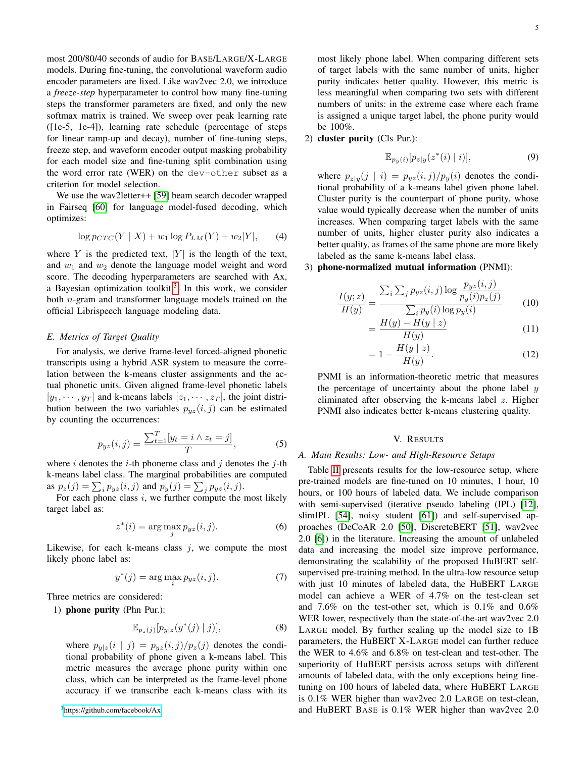most 200/80/40 seconds of audio for BASE/LARGE/X-LARGE models. During fine-tuning, the convolutional waveform audio encoder parameters are fixed. Like wav2vec 2.0, we introduce a *freeze-step* hyperparameter to control how many fine-tuning steps the transformer parameters are fixed, and only the new softmax matrix is trained. We sweep over peak learning rate ([1e-5, 1e-4]), learning rate schedule (percentage of steps for linear ramp-up and decay), number of fine-tuning steps, freeze step, and waveform encoder output masking probability for each model size and fine-tuning split combination using the word error rate (WER) on the dev-other subset as a criterion for model selection.

We use the wav2letter++ [\[59\]](#page-9-14) beam search decoder wrapped in Fairseq [\[60\]](#page-9-15) for language model-fused decoding, which optimizes:

$$
\log p_{CTC}(Y \mid X) + w_1 \log P_{LM}(Y) + w_2 |Y|, \qquad (4)
$$

where Y is the predicted text,  $|Y|$  is the length of the text, and  $w_1$  and  $w_2$  denote the language model weight and word score. The decoding hyperparameters are searched with Ax, a Bayesian optimization toolkit, $3$ . In this work, we consider both n-gram and transformer language models trained on the official Librispeech language modeling data.

## *E. Metrics of Target Quality*

For analysis, we derive frame-level forced-aligned phonetic transcripts using a hybrid ASR system to measure the correlation between the k-means cluster assignments and the actual phonetic units. Given aligned frame-level phonetic labels  $[y_1, \dots, y_T]$  and k-means labels  $[z_1, \dots, z_T]$ , the joint distribution between the two variables  $p_{uz}(i, j)$  can be estimated by counting the occurrences:

$$
p_{yz}(i,j) = \frac{\sum_{t=1}^{T} [y_t = i \land z_t = j]}{T},
$$
 (5)

where i denotes the *i*-th phoneme class and j denotes the j-th k-means label class. The marginal probabilities are computed as  $p_z(j) = \sum_i p_{yz}(i, j)$  and  $p_y(j) = \sum_j p_{yz}(i, j)$ .

For each phone class  $i$ , we further compute the most likely target label as:

$$
z^*(i) = \arg\max_j p_{yz}(i,j). \tag{6}
$$

Likewise, for each k-means class  $j$ , we compute the most likely phone label as:

$$
y^*(j) = \arg\max_i p_{yz}(i, j). \tag{7}
$$

Three metrics are considered:

1) phone purity (Phn Pur.):

$$
\mathbb{E}_{p_z(j)}[p_{y|z}(y^*(j) | j)],\tag{8}
$$

where  $p_{y|z}(i | j) = p_{yz}(i, j)/p_z(j)$  denotes the conditional probability of phone given a k-means label. This metric measures the average phone purity within one class, which can be interpreted as the frame-level phone accuracy if we transcribe each k-means class with its most likely phone label. When comparing different sets of target labels with the same number of units, higher purity indicates better quality. However, this metric is less meaningful when comparing two sets with different numbers of units: in the extreme case where each frame is assigned a unique target label, the phone purity would be 100%.

2) cluster purity (Cls Pur.):

$$
\mathbb{E}_{p_y(i)}[p_{z|y}(z^*(i) \mid i)],\tag{9}
$$

where  $p_{z|y}(j \mid i) = p_{yz}(i, j)/p_y(i)$  denotes the conditional probability of a k-means label given phone label. Cluster purity is the counterpart of phone purity, whose value would typically decrease when the number of units increases. When comparing target labels with the same number of units, higher cluster purity also indicates a better quality, as frames of the same phone are more likely labeled as the same k-means label class.

# 3) phone-normalized mutual information (PNMI):

$$
\frac{I(y;z)}{H(y)} = \frac{\sum_{i} \sum_{j} p_{yz}(i,j) \log \frac{p_{yz}(i,j)}{p_y(i)p_z(j)}}{\sum_{i} p_y(i) \log p_y(i)} \tag{10}
$$

$$
=\frac{H(y)-H(y\mid z)}{H(y)}\tag{11}
$$

$$
= 1 - \frac{H(y \mid z)}{H(y)}.
$$
 (12)

PNMI is an information-theoretic metric that measures the percentage of uncertainty about the phone label  $y$ eliminated after observing the k-means label z. Higher PNMI also indicates better k-means clustering quality.

# V. RESULTS

## *A. Main Results: Low- and High-Resource Setups*

Table [II](#page-5-0) presents results for the low-resource setup, where pre-trained models are fine-tuned on 10 minutes, 1 hour, 10 hours, or 100 hours of labeled data. We include comparison with semi-supervised (iterative pseudo labeling (IPL) [\[12\]](#page-8-9), slimIPL [\[54\]](#page-9-9), noisy student [\[61\]](#page-9-16)) and self-supervised approaches (DeCoAR 2.0 [\[50\]](#page-9-5), DiscreteBERT [\[51\]](#page-9-6), wav2vec 2.0 [\[6\]](#page-8-4)) in the literature. Increasing the amount of unlabeled data and increasing the model size improve performance, demonstrating the scalability of the proposed HuBERT selfsupervised pre-training method. In the ultra-low resource setup with just 10 minutes of labeled data, the HuBERT LARGE model can achieve a WER of 4.7% on the test-clean set and 7.6% on the test-other set, which is 0.1% and 0.6% WER lower, respectively than the state-of-the-art wav2vec 2.0 LARGE model. By further scaling up the model size to 1B parameters, the HuBERT X-LARGE model can further reduce the WER to 4.6% and 6.8% on test-clean and test-other. The superiority of HuBERT persists across setups with different amounts of labeled data, with the only exceptions being finetuning on 100 hours of labeled data, where HuBERT LARGE is 0.1% WER higher than wav2vec 2.0 LARGE on test-clean, and HuBERT BASE is 0.1% WER higher than wav2vec 2.0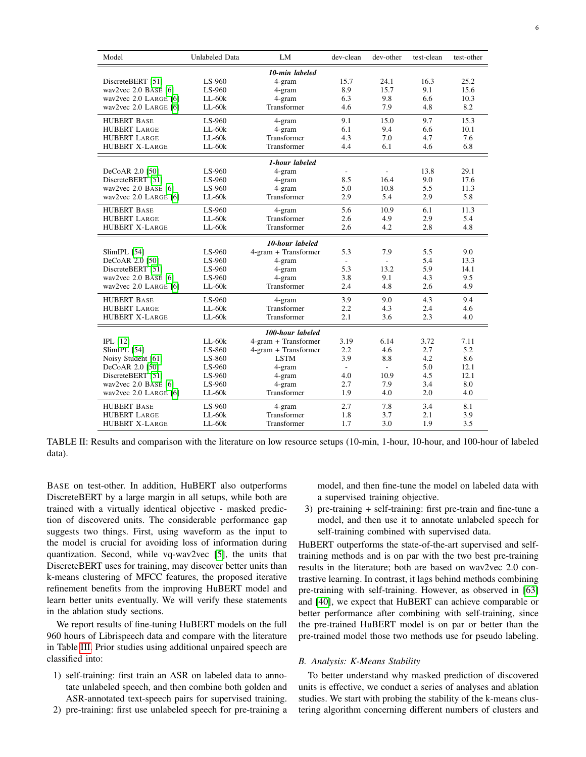<span id="page-5-0"></span>

| Model                  | Unlabeled Data | LM                            | dev-clean                | dev-other                | test-clean | test-other |  |
|------------------------|----------------|-------------------------------|--------------------------|--------------------------|------------|------------|--|
| 10-min labeled         |                |                               |                          |                          |            |            |  |
| DiscreteBERT [51]      | LS-960         | 4-gram                        | 15.7                     | 24.1                     | 16.3       | 25.2       |  |
| wav2vec $2.0$ BASE [6] | LS-960         | 4-gram                        | 8.9                      | 15.7                     | 9.1        | 15.6       |  |
| wav2vec 2.0 LARGE [6]  | $LL-60k$       | 4-gram                        | 6.3                      | 9.8                      | 6.6        | 10.3       |  |
| wav2vec 2.0 LARGE [6]  | $LL-60k$       | Transformer                   | 4.6                      | 7.9                      | 4.8        | 8.2        |  |
| <b>HUBERT BASE</b>     | LS-960         | 4-gram                        | 9.1                      | 15.0                     | 9.7        | 15.3       |  |
| <b>HUBERT LARGE</b>    | $LL-60k$       | 4-gram                        | 6.1                      | 9.4                      | 6.6        | 10.1       |  |
| <b>HUBERT LARGE</b>    | $LL-60k$       | Transformer                   | 4.3                      | 7.0                      | 4.7        | 7.6        |  |
| <b>HUBERT X-LARGE</b>  | $LL-60k$       | Transformer                   | 4.4                      | 6.1                      | 4.6        | 6.8        |  |
|                        |                | 1-hour labeled                |                          |                          |            |            |  |
| DeCoAR 2.0 [50]        | LS-960         | 4-gram                        |                          | ÷                        | 13.8       | 29.1       |  |
| DiscreteBERT [51]      | LS-960         | 4-gram                        | 8.5                      | 16.4                     | 9.0        | 17.6       |  |
| wav2vec $2.0$ BASE [6] | LS-960         | 4-gram                        | 5.0                      | 10.8                     | 5.5        | 11.3       |  |
| wav2vec 2.0 LARGE [6]  | $LL-60k$       | Transformer                   | 2.9                      | 5.4                      | 2.9        | 5.8        |  |
| <b>HUBERT BASE</b>     | LS-960         | 4-gram                        | 5.6                      | 10.9                     | 6.1        | 11.3       |  |
| <b>HUBERT LARGE</b>    | $LL-60k$       | Transformer                   | 2.6                      | 4.9                      | 2.9        | 5.4        |  |
| <b>HUBERT X-LARGE</b>  | $LL-60k$       | Transformer                   | 2.6                      | 4.2                      | 2.8        | 4.8        |  |
|                        |                | 10-hour labeled               |                          |                          |            |            |  |
| SlimIPL [54]           | LS-960         | 4-gram + Transformer          | 5.3                      | 7.9                      | 5.5        | 9.0        |  |
| DeCoAR 2.0 [50]        | LS-960         | 4-gram                        | ÷,                       |                          | 5.4        | 13.3       |  |
| DiscreteBERT [51]      | LS-960         | 4-gram                        | 5.3                      | 13.2                     | 5.9        | 14.1       |  |
| wav2vec $2.0$ BASE [6] | LS-960         | 4-gram                        | 3.8                      | 9.1                      | 4.3        | 9.5        |  |
| wav2vec 2.0 LARGE [6]  | $LL-60k$       | Transformer                   | 2.4                      | 4.8                      | 2.6        | 4.9        |  |
| <b>HUBERT BASE</b>     | LS-960         | 4-gram                        | 3.9                      | 9.0                      | 4.3        | 9.4        |  |
| <b>HUBERT LARGE</b>    | $LL-60k$       | Transformer                   | 2.2                      | 4.3                      | 2.4        | 4.6        |  |
| <b>HUBERT X-LARGE</b>  | $LL-60k$       | Transformer                   | 2.1                      | 3.6                      | 2.3        | 4.0        |  |
|                        |                | 100-hour labeled              |                          |                          |            |            |  |
| $IPL$ [12]             | $LL-60k$       | $4\text{-gram}$ + Transformer | 3.19                     | 6.14                     | 3.72       | 7.11       |  |
| SlimIPL [54]           | LS-860         | 4-gram + Transformer          | 2.2                      | 4.6                      | 2.7        | 5.2        |  |
| Noisy Student [61]     | LS-860         | <b>LSTM</b>                   | 3.9                      | 8.8                      | 4.2        | 8.6        |  |
| DeCoAR 2.0 [50]        | LS-960         | 4-gram                        | $\overline{\phantom{a}}$ | $\overline{\phantom{a}}$ | 5.0        | 12.1       |  |
| DiscreteBERT [51]      | LS-960         | 4-gram                        | 4.0                      | 10.9                     | 4.5        | 12.1       |  |
| wav2vec $2.0$ BASE [6] | LS-960         | 4-gram                        | 2.7                      | 7.9                      | 3.4        | 8.0        |  |
| wav2vec 2.0 LARGE [6]  | $LL-60k$       | Transformer                   | 1.9                      | 4.0                      | 2.0        | 4.0        |  |
| <b>HUBERT BASE</b>     | LS-960         | 4-gram                        | 2.7                      | 7.8                      | 3.4        | 8.1        |  |
| <b>HUBERT LARGE</b>    | $LL-60k$       | Transformer                   | 1.8                      | 3.7                      | 2.1        | 3.9        |  |
| <b>HUBERT X-LARGE</b>  | $LL-60k$       | Transformer                   | 1.7                      | 3.0                      | 1.9        | 3.5        |  |

TABLE II: Results and comparison with the literature on low resource setups (10-min, 1-hour, 10-hour, and 100-hour of labeled data).

BASE on test-other. In addition, HuBERT also outperforms DiscreteBERT by a large margin in all setups, while both are trained with a virtually identical objective - masked prediction of discovered units. The considerable performance gap suggests two things. First, using waveform as the input to the model is crucial for avoiding loss of information during quantization. Second, while vq-wav2vec [\[5\]](#page-8-3), the units that DiscreteBERT uses for training, may discover better units than k-means clustering of MFCC features, the proposed iterative refinement benefits from the improving HuBERT model and learn better units eventually. We will verify these statements in the ablation study sections.

We report results of fine-tuning HuBERT models on the full 960 hours of Librispeech data and compare with the literature in Table [III.](#page-6-1) Prior studies using additional unpaired speech are classified into:

- 1) self-training: first train an ASR on labeled data to annotate unlabeled speech, and then combine both golden and ASR-annotated text-speech pairs for supervised training.
- 2) pre-training: first use unlabeled speech for pre-training a

model, and then fine-tune the model on labeled data with a supervised training objective.

3) pre-training + self-training: first pre-train and fine-tune a model, and then use it to annotate unlabeled speech for self-training combined with supervised data.

HuBERT outperforms the state-of-the-art supervised and selftraining methods and is on par with the two best pre-training results in the literature; both are based on wav2vec 2.0 contrastive learning. In contrast, it lags behind methods combining pre-training with self-training. However, as observed in [\[63\]](#page-9-17) and [\[40\]](#page-9-0), we expect that HuBERT can achieve comparable or better performance after combining with self-training, since the pre-trained HuBERT model is on par or better than the pre-trained model those two methods use for pseudo labeling.

# *B. Analysis: K-Means Stability*

To better understand why masked prediction of discovered units is effective, we conduct a series of analyses and ablation studies. We start with probing the stability of the k-means clustering algorithm concerning different numbers of clusters and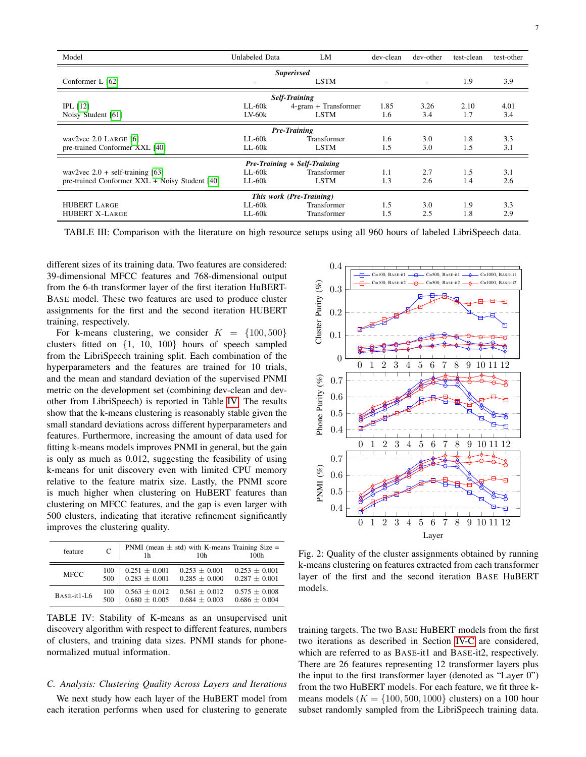<span id="page-6-1"></span>

| Model                                          | LM<br>Unlabeled Data |                      | dev-clean | dev-other | test-clean | test-other |  |  |
|------------------------------------------------|----------------------|----------------------|-----------|-----------|------------|------------|--|--|
| <b>Superivsed</b>                              |                      |                      |           |           |            |            |  |  |
| Conformer L $[62]$                             | <b>LSTM</b>          |                      | $\sim$    | $\sim$    | 1.9        | 3.9        |  |  |
|                                                |                      | <b>Self-Training</b> |           |           |            |            |  |  |
| $IPL$ [12]                                     | $LL-60k$             | 4-gram + Transformer | 1.85      | 3.26      | 2.10       | 4.01       |  |  |
| Noisy Student [61]                             | $LV-60k$             | LSTM                 | 1.6       | 3.4       | 1.7        | 3.4        |  |  |
| <b>Pre-Training</b>                            |                      |                      |           |           |            |            |  |  |
| wav2vec $2.0$ LARGE [6]                        | $L_{L}$ -60 $k$      | Transformer          | 1.6       | 3.0       | 1.8        | 3.3        |  |  |
| pre-trained Conformer XXL [40]                 | LL-60k               | <b>LSTM</b>          | 1.5       | 3.0       | 1.5        | 3.1        |  |  |
| Pre-Training + Self-Training                   |                      |                      |           |           |            |            |  |  |
| wav2vec $2.0 + self-training [63]$             | $LL-60k$             | Transformer          | 1.1       | 2.7       | 1.5        | 3.1        |  |  |
| pre-trained Conformer XXL + Noisy Student [40] | $LL-60k$             | <b>LSTM</b>          | 1.3       | 2.6       | 1.4        | 2.6        |  |  |
| This work (Pre-Training)                       |                      |                      |           |           |            |            |  |  |
| <b>HUBERT LARGE</b>                            | $LL-60k$             | Transformer          | 1.5       | 3.0       | 1.9        | 3.3        |  |  |
| <b>HUBERT X-LARGE</b>                          | $LL-60k$             | Transformer          | 1.5       | 2.5       | 1.8        | 2.9        |  |  |

TABLE III: Comparison with the literature on high resource setups using all 960 hours of labeled LibriSpeech data.

different sizes of its training data. Two features are considered: 39-dimensional MFCC features and 768-dimensional output from the 6-th transformer layer of the first iteration HuBERT-BASE model. These two features are used to produce cluster assignments for the first and the second iteration HUBERT training, respectively.

For k-means clustering, we consider  $K = \{100, 500\}$ clusters fitted on {1, 10, 100} hours of speech sampled from the LibriSpeech training split. Each combination of the hyperparameters and the features are trained for 10 trials, and the mean and standard deviation of the supervised PNMI metric on the development set (combining dev-clean and devother from LibriSpeech) is reported in Table [IV.](#page-6-2) The results show that the k-means clustering is reasonably stable given the small standard deviations across different hyperparameters and features. Furthermore, increasing the amount of data used for fitting k-means models improves PNMI in general, but the gain is only as much as 0.012, suggesting the feasibility of using k-means for unit discovery even with limited CPU memory relative to the feature matrix size. Lastly, the PNMI score is much higher when clustering on HuBERT features than clustering on MFCC features, and the gap is even larger with 500 clusters, indicating that iterative refinement significantly improves the clustering quality.

<span id="page-6-2"></span>

| feature     | $\mathcal{C}$ |                   | PNMI (mean $\pm$ std) with K-means Training Size =<br>10h | 100 <sub>h</sub>  |
|-------------|---------------|-------------------|-----------------------------------------------------------|-------------------|
| <b>MFCC</b> | 100           | $0.251 \pm 0.001$ | $0.253 + 0.001$                                           | $0.253 \pm 0.001$ |
|             | 500           | $0.283 \pm 0.001$ | $0.285 \pm 0.000$                                         | $0.287 \pm 0.001$ |
| BASE-it1-L6 | 100           | $0.563 \pm 0.012$ | $0.561 \pm 0.012$                                         | $0.575 \pm 0.008$ |
|             | 500           | $0.680 \pm 0.005$ | $0.684 \pm 0.003$                                         | $0.686 \pm 0.004$ |

TABLE IV: Stability of K-means as an unsupervised unit discovery algorithm with respect to different features, numbers of clusters, and training data sizes. PNMI stands for phonenormalized mutual information.

# *C. Analysis: Clustering Quality Across Layers and Iterations*

We next study how each layer of the HuBERT model from each iteration performs when used for clustering to generate

<span id="page-6-0"></span>

Fig. 2: Quality of the cluster assignments obtained by running k-means clustering on features extracted from each transformer layer of the first and the second iteration BASE HuBERT models.

training targets. The two BASE HuBERT models from the first two iterations as described in Section [IV-C](#page-3-1) are considered, which are referred to as BASE-it1 and BASE-it2, respectively. There are 26 features representing 12 transformer layers plus the input to the first transformer layer (denoted as "Layer 0") from the two HuBERT models. For each feature, we fit three kmeans models ( $K = \{100, 500, 1000\}$  clusters) on a 100 hour subset randomly sampled from the LibriSpeech training data.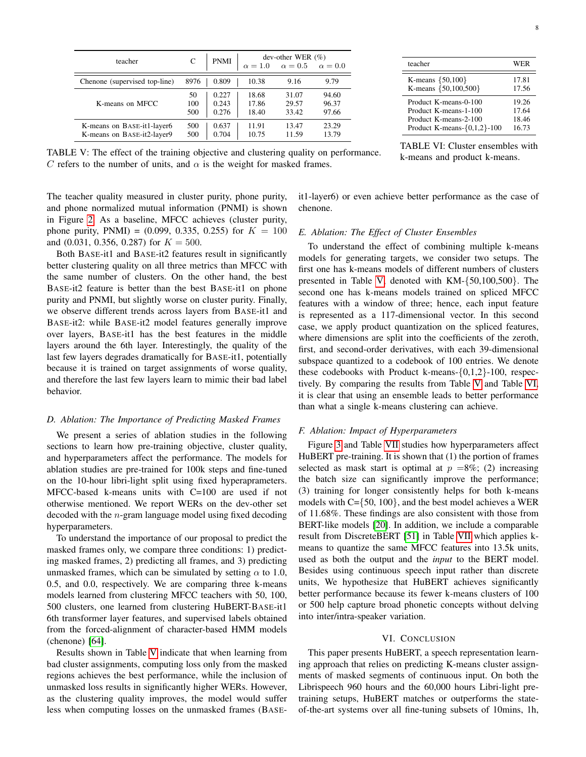<span id="page-7-0"></span>

| teacher                       | C    | <b>PNMI</b> | $\alpha = 1.0$ | dev-other WER $(\%)$<br>$\alpha=0.5$ | $\alpha = 0.0$ |
|-------------------------------|------|-------------|----------------|--------------------------------------|----------------|
| Chenone (supervised top-line) | 8976 | 0.809       | 10.38          | 9.16                                 | 9.79           |
| K-means on MFCC               | 50   | 0.227       | 18.68          | 31.07                                | 94.60          |
|                               | 100  | 0.243       | 17.86          | 29.57                                | 96.37          |
|                               | 500  | 0.276       | 18.40          | 33.42                                | 97.66          |
| K-means on BASE-it1-layer6    | 500  | 0.637       | 11.91          | 13.47                                | 23.29          |
| K-means on BASE-it2-layer9    | 500  | 0.704       | 10.75          | 11.59                                | 13.79          |

TABLE V: The effect of the training objective and clustering quality on performance. C refers to the number of units, and  $\alpha$  is the weight for masked frames.

The teacher quality measured in cluster purity, phone purity, and phone normalized mutual information (PNMI) is shown in Figure [2.](#page-6-0) As a baseline, MFCC achieves (cluster purity, phone purity, PNMI) =  $(0.099, 0.335, 0.255)$  for  $K = 100$ and (0.031, 0.356, 0.287) for  $K = 500$ .

Both BASE-it1 and BASE-it2 features result in significantly better clustering quality on all three metrics than MFCC with the same number of clusters. On the other hand, the best BASE-it2 feature is better than the best BASE-it1 on phone purity and PNMI, but slightly worse on cluster purity. Finally, we observe different trends across layers from BASE-it1 and BASE-it2: while BASE-it2 model features generally improve over layers, BASE-it1 has the best features in the middle layers around the 6th layer. Interestingly, the quality of the last few layers degrades dramatically for BASE-it1, potentially because it is trained on target assignments of worse quality, and therefore the last few layers learn to mimic their bad label behavior.

#### *D. Ablation: The Importance of Predicting Masked Frames*

We present a series of ablation studies in the following sections to learn how pre-training objective, cluster quality, and hyperparameters affect the performance. The models for ablation studies are pre-trained for 100k steps and fine-tuned on the 10-hour libri-light split using fixed hyperaprameters. MFCC-based k-means units with C=100 are used if not otherwise mentioned. We report WERs on the dev-other set decoded with the n-gram language model using fixed decoding hyperparameters.

To understand the importance of our proposal to predict the masked frames only, we compare three conditions: 1) predicting masked frames, 2) predicting all frames, and 3) predicting unmasked frames, which can be simulated by setting  $\alpha$  to 1.0, 0.5, and 0.0, respectively. We are comparing three k-means models learned from clustering MFCC teachers with 50, 100, 500 clusters, one learned from clustering HuBERT-BASE-it1 6th transformer layer features, and supervised labels obtained from the forced-alignment of character-based HMM models (chenone) [\[64\]](#page-9-19).

Results shown in Table [V](#page-7-0) indicate that when learning from bad cluster assignments, computing loss only from the masked regions achieves the best performance, while the inclusion of unmasked loss results in significantly higher WERs. However, as the clustering quality improves, the model would suffer less when computing losses on the unmasked frames (BASE-

| teacher                     | WER   |
|-----------------------------|-------|
| K-means ${50,100}$          | 17.81 |
| K-means {50,100,500}        | 17.56 |
| Product K-means-0-100       | 19.26 |
| Product K-means-1-100       | 17.64 |
| Product K-means-2-100       | 18.46 |
| Product K-means-{0,1,2}-100 | 16.73 |

TABLE VI: Cluster ensembles with k-means and product k-means.

it1-layer6) or even achieve better performance as the case of chenone.

# *E. Ablation: The Effect of Cluster Ensembles*

To understand the effect of combining multiple k-means models for generating targets, we consider two setups. The first one has k-means models of different numbers of clusters presented in Table [V,](#page-7-0) denoted with KM-{50,100,500}. The second one has k-means models trained on spliced MFCC features with a window of three; hence, each input feature is represented as a 117-dimensional vector. In this second case, we apply product quantization on the spliced features, where dimensions are split into the coefficients of the zeroth. first, and second-order derivatives, with each 39-dimensional subspace quantized to a codebook of 100 entries. We denote these codebooks with Product k-means-{0,1,2}-100, respectively. By comparing the results from Table [V](#page-7-0) and Table [VI,](#page-7-0) it is clear that using an ensemble leads to better performance than what a single k-means clustering can achieve.

#### *F. Ablation: Impact of Hyperparameters*

Figure [3](#page-8-34) and Table [VII](#page-8-35) studies how hyperparameters affect HuBERT pre-training. It is shown that (1) the portion of frames selected as mask start is optimal at  $p = 8\%$ ; (2) increasing the batch size can significantly improve the performance; (3) training for longer consistently helps for both k-means models with  $C = \{50, 100\}$ , and the best model achieves a WER of 11.68%. These findings are also consistent with those from BERT-like models [\[20\]](#page-8-15). In addition, we include a comparable result from DiscreteBERT [\[51\]](#page-9-6) in Table [VII](#page-8-35) which applies kmeans to quantize the same MFCC features into 13.5k units, used as both the output and the *input* to the BERT model. Besides using continuous speech input rather than discrete units, We hypothesize that HuBERT achieves significantly better performance because its fewer k-means clusters of 100 or 500 help capture broad phonetic concepts without delving into inter/intra-speaker variation.

#### VI. CONCLUSION

This paper presents HuBERT, a speech representation learning approach that relies on predicting K-means cluster assignments of masked segments of continuous input. On both the Librispeech 960 hours and the 60,000 hours Libri-light pretraining setups, HuBERT matches or outperforms the stateof-the-art systems over all fine-tuning subsets of 10mins, 1h,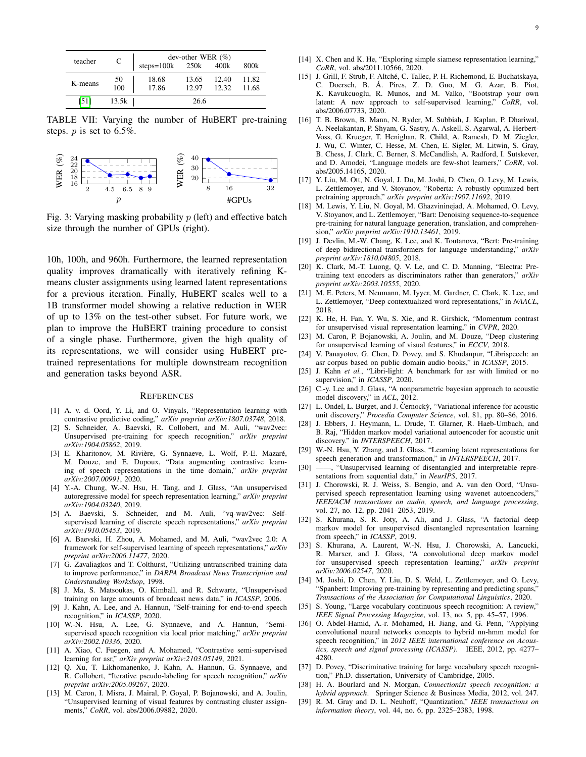<span id="page-8-35"></span>

| teacher | C                                        | dev-other WER $(\%)$<br>steps= $100k$ 250 $k$ 400 $k$<br>800k |       |       |       |  |  |
|---------|------------------------------------------|---------------------------------------------------------------|-------|-------|-------|--|--|
|         |                                          |                                                               |       |       |       |  |  |
| K-means | $\begin{array}{c} 50 \\ 100 \end{array}$ | 18.68                                                         | 13.65 | 12.40 | 11.82 |  |  |
|         |                                          | 17.86                                                         | 12.97 | 12.32 | 11.68 |  |  |
| [51]    | 13.5k                                    |                                                               | 26.6  |       |       |  |  |

TABLE VII: Varying the number of HuBERT pre-training steps.  $p$  is set to 6.5%.

<span id="page-8-34"></span>

Fig. 3: Varying masking probability  $p$  (left) and effective batch size through the number of GPUs (right).

10h, 100h, and 960h. Furthermore, the learned representation quality improves dramatically with iteratively refining Kmeans cluster assignments using learned latent representations for a previous iteration. Finally, HuBERT scales well to a 1B transformer model showing a relative reduction in WER of up to 13% on the test-other subset. For future work, we plan to improve the HuBERT training procedure to consist of a single phase. Furthermore, given the high quality of its representations, we will consider using HuBERT pretrained representations for multiple downstream recognition and generation tasks beyond ASR.

#### **REFERENCES**

- <span id="page-8-0"></span>[1] A. v. d. Oord, Y. Li, and O. Vinyals, "Representation learning with contrastive predictive coding," *arXiv preprint arXiv:1807.03748*, 2018.
- [2] S. Schneider, A. Baevski, R. Collobert, and M. Auli, "wav2vec: Unsupervised pre-training for speech recognition," *arXiv preprint arXiv:1904.05862*, 2019.
- <span id="page-8-1"></span>[3] E. Kharitonov, M. Rivière, G. Synnaeve, L. Wolf, P.-E. Mazaré, M. Douze, and E. Dupoux, "Data augmenting contrastive learning of speech representations in the time domain," *arXiv preprint arXiv:2007.00991*, 2020.
- <span id="page-8-2"></span>[4] Y.-A. Chung, W.-N. Hsu, H. Tang, and J. Glass, "An unsupervised autoregressive model for speech representation learning," *arXiv preprint arXiv:1904.03240*, 2019.
- <span id="page-8-3"></span>[5] A. Baevski, S. Schneider, and M. Auli, "vq-wav2vec: Selfsupervised learning of discrete speech representations," *arXiv preprint arXiv:1910.05453*, 2019.
- <span id="page-8-4"></span>[6] A. Baevski, H. Zhou, A. Mohamed, and M. Auli, "wav2vec 2.0: A framework for self-supervised learning of speech representations," *arXiv preprint arXiv:2006.11477*, 2020.
- <span id="page-8-5"></span>[7] G. Zavaliagkos and T. Colthurst, "Utilizing untranscribed training data to improve performance," in *DARPA Broadcast News Transcription and Understanding Workshop*, 1998.
- [8] J. Ma, S. Matsoukas, O. Kimball, and R. Schwartz, "Unsupervised training on large amounts of broadcast news data," in *ICASSP*, 2006.
- <span id="page-8-7"></span>[9] J. Kahn, A. Lee, and A. Hannun, "Self-training for end-to-end speech recognition," in *ICASSP*, 2020.
- <span id="page-8-6"></span>[10] W.-N. Hsu, A. Lee, G. Synnaeve, and A. Hannun, "Semisupervised speech recognition via local prior matching," *arXiv preprint arXiv:2002.10336*, 2020.
- <span id="page-8-8"></span>[11] A. Xiao, C. Fuegen, and A. Mohamed, "Contrastive semi-supervised learning for asr," *arXiv preprint arXiv:2103.05149*, 2021.
- <span id="page-8-9"></span>[12] Q. Xu, T. Likhomanenko, J. Kahn, A. Hannun, G. Synnaeve, and R. Collobert, "Iterative pseudo-labeling for speech recognition," *arXiv preprint arXiv:2005.09267*, 2020.
- <span id="page-8-10"></span>[13] M. Caron, I. Misra, J. Mairal, P. Goyal, P. Bojanowski, and A. Joulin, "Unsupervised learning of visual features by contrasting cluster assignments," *CoRR*, vol. abs/2006.09882, 2020.
- <span id="page-8-17"></span>[14] X. Chen and K. He, "Exploring simple siamese representation learning," *CoRR*, vol. abs/2011.10566, 2020.
- <span id="page-8-11"></span>[15] J. Grill, F. Strub, F. Altché, C. Tallec, P. H. Richemond, E. Buchatskava. C. Doersch, B. A. Pires, Z. D. Guo, M. G. Azar, B. Piot, ´ K. Kavukcuoglu, R. Munos, and M. Valko, "Bootstrap your own latent: A new approach to self-supervised learning," *CoRR*, vol. abs/2006.07733, 2020.
- <span id="page-8-12"></span>[16] T. B. Brown, B. Mann, N. Ryder, M. Subbiah, J. Kaplan, P. Dhariwal, A. Neelakantan, P. Shyam, G. Sastry, A. Askell, S. Agarwal, A. Herbert-Voss, G. Krueger, T. Henighan, R. Child, A. Ramesh, D. M. Ziegler, J. Wu, C. Winter, C. Hesse, M. Chen, E. Sigler, M. Litwin, S. Gray, B. Chess, J. Clark, C. Berner, S. McCandlish, A. Radford, I. Sutskever, and D. Amodei, "Language models are few-shot learners," *CoRR*, vol. abs/2005.14165, 2020.
- [17] Y. Liu, M. Ott, N. Goyal, J. Du, M. Joshi, D. Chen, O. Levy, M. Lewis, L. Zettlemoyer, and V. Stoyanov, "Roberta: A robustly optimized bert pretraining approach," *arXiv preprint arXiv:1907.11692*, 2019.
- <span id="page-8-13"></span>[18] M. Lewis, Y. Liu, N. Goyal, M. Ghazvininejad, A. Mohamed, O. Levy, V. Stoyanov, and L. Zettlemoyer, "Bart: Denoising sequence-to-sequence pre-training for natural language generation, translation, and comprehension," *arXiv preprint arXiv:1910.13461*, 2019.
- <span id="page-8-14"></span>[19] J. Devlin, M.-W. Chang, K. Lee, and K. Toutanova, "Bert: Pre-training of deep bidirectional transformers for language understanding," *arXiv preprint arXiv:1810.04805*, 2018.
- <span id="page-8-15"></span>[20] K. Clark, M.-T. Luong, Q. V. Le, and C. D. Manning, "Electra: Pretraining text encoders as discriminators rather than generators," *arXiv preprint arXiv:2003.10555*, 2020.
- <span id="page-8-16"></span>[21] M. E. Peters, M. Neumann, M. Iyyer, M. Gardner, C. Clark, K. Lee, and L. Zettlemoyer, "Deep contextualized word representations," in *NAACL*, 2018.
- <span id="page-8-18"></span>[22] K. He, H. Fan, Y. Wu, S. Xie, and R. Girshick, "Momentum contrast for unsupervised visual representation learning," in *CVPR*, 2020.
- <span id="page-8-19"></span>[23] M. Caron, P. Bojanowski, A. Joulin, and M. Douze, "Deep clustering for unsupervised learning of visual features," in *ECCV*, 2018.
- <span id="page-8-20"></span>[24] V. Panayotov, G. Chen, D. Povey, and S. Khudanpur, "Librispeech: an asr corpus based on public domain audio books," in *ICASSP*, 2015.
- <span id="page-8-21"></span>[25] J. Kahn *et al.*, "Libri-light: A benchmark for asr with limited or no supervision," in *ICASSP*, 2020.
- <span id="page-8-22"></span>[26] C.-y. Lee and J. Glass, "A nonparametric bayesian approach to acoustic model discovery," in *ACL*, 2012.
- <span id="page-8-23"></span>[27] L. Ondel, L. Burget, and J. Černockỳ, "Variational inference for acoustic unit discovery," *Procedia Computer Science*, vol. 81, pp. 80–86, 2016.
- <span id="page-8-24"></span>[28] J. Ebbers, J. Heymann, L. Drude, T. Glarner, R. Haeb-Umbach, and B. Raj, "Hidden markov model variational autoencoder for acoustic unit discovery." in *INTERSPEECH*, 2017.
- <span id="page-8-25"></span>[29] W.-N. Hsu, Y. Zhang, and J. Glass, "Learning latent representations for speech generation and transformation," in *INTERSPEECH*, 2017.
- <span id="page-8-32"></span>[30] ——, "Unsupervised learning of disentangled and interpretable representations from sequential data," in *NeurIPS*, 2017.
- <span id="page-8-31"></span>[31] J. Chorowski, R. J. Weiss, S. Bengio, and A. van den Oord, "Unsupervised speech representation learning using wavenet autoencoders," *IEEE/ACM transactions on audio, speech, and language processing*, vol. 27, no. 12, pp. 2041–2053, 2019.
- <span id="page-8-33"></span>[32] S. Khurana, S. R. Joty, A. Ali, and J. Glass, "A factorial deep markov model for unsupervised disentangled representation learning from speech," in *ICASSP*, 2019.
- <span id="page-8-26"></span>[33] S. Khurana, A. Laurent, W.-N. Hsu, J. Chorowski, A. Lancucki, R. Marxer, and J. Glass, "A convolutional deep markov model for unsupervised speech representation learning," *arXiv preprint arXiv:2006.02547*, 2020.
- <span id="page-8-27"></span>[34] M. Joshi, D. Chen, Y. Liu, D. S. Weld, L. Zettlemoyer, and O. Levy, "Spanbert: Improving pre-training by representing and predicting spans," *Transactions of the Association for Computational Linguistics*, 2020.
- <span id="page-8-28"></span>[35] S. Young, "Large vocabulary continuous speech recognition: A review," *IEEE Signal Processing Magazine*, vol. 13, no. 5, pp. 45–57, 1996.
- [36] O. Abdel-Hamid, A.-r. Mohamed, H. Jiang, and G. Penn, "Applying convolutional neural networks concepts to hybrid nn-hmm model for speech recognition," in *2012 IEEE international conference on Acoustics, speech and signal processing (ICASSP)*. IEEE, 2012, pp. 4277– 4280.
- [37] D. Povey, "Discriminative training for large vocabulary speech recognition," Ph.D. dissertation, University of Cambridge, 2005.
- <span id="page-8-29"></span>[38] H. A. Bourlard and N. Morgan, *Connectionist speech recognition: a hybrid approach*. Springer Science & Business Media, 2012, vol. 247.
- <span id="page-8-30"></span>[39] R. M. Gray and D. L. Neuhoff, "Quantization," *IEEE transactions on information theory*, vol. 44, no. 6, pp. 2325–2383, 1998.